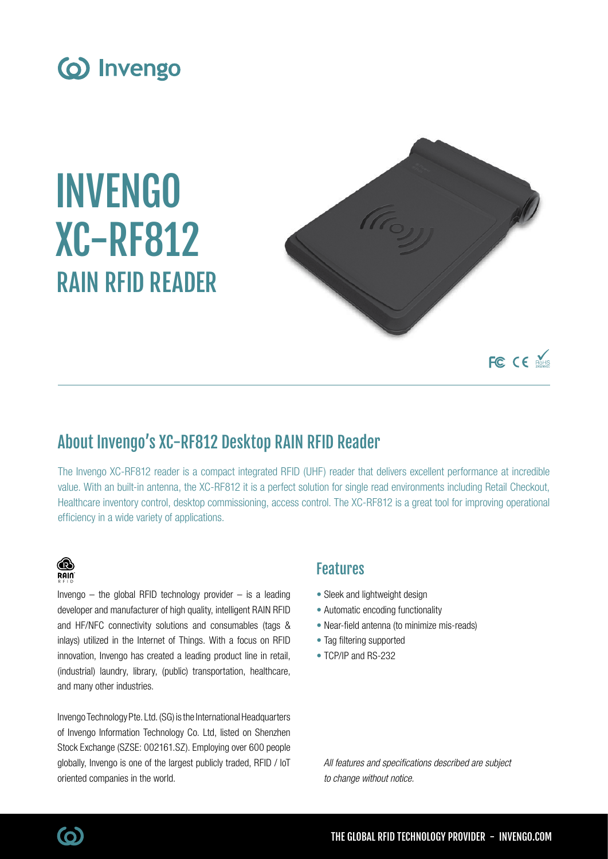

# INVENGO XC-RF812 RAIN RFID READER



# About Invengo's XC-RF812 Desktop RAIN RFID Reader

The Invengo XC-RF812 reader is a compact integrated RFID (UHF) reader that delivers excellent performance at incredible value. With an built-in antenna, the XC-RF812 it is a perfect solution for single read environments including Retail Checkout, Healthcare inventory control, desktop commissioning, access control. The XC-RF812 is a great tool for improving operational efficiency in a wide variety of applications.

### ⋒ **RAIN**

Invengo  $-$  the global RFID technology provider  $-$  is a leading developer and manufacturer of high quality, intelligent RAIN RFID and HF/NFC connectivity solutions and consumables (tags & inlays) utilized in the Internet of Things. With a focus on RFID innovation, Invengo has created a leading product line in retail, (industrial) laundry, library, (public) transportation, healthcare, and many other industries.

Invengo Technology Pte. Ltd. (SG) is the International Headquarters of Invengo Information Technology Co. Ltd, listed on Shenzhen Stock Exchange (SZSE: 002161.SZ). Employing over 600 people globally, Invengo is one of the largest publicly traded, RFID / IoT oriented companies in the world.

## Features

- Sleek and lightweight design
- Automatic encoding functionality
- Near-field antenna (to minimize mis-reads)
- Tag filtering supported
- TCP/IP and RS-232

All features and specifications described are subject to change without notice.